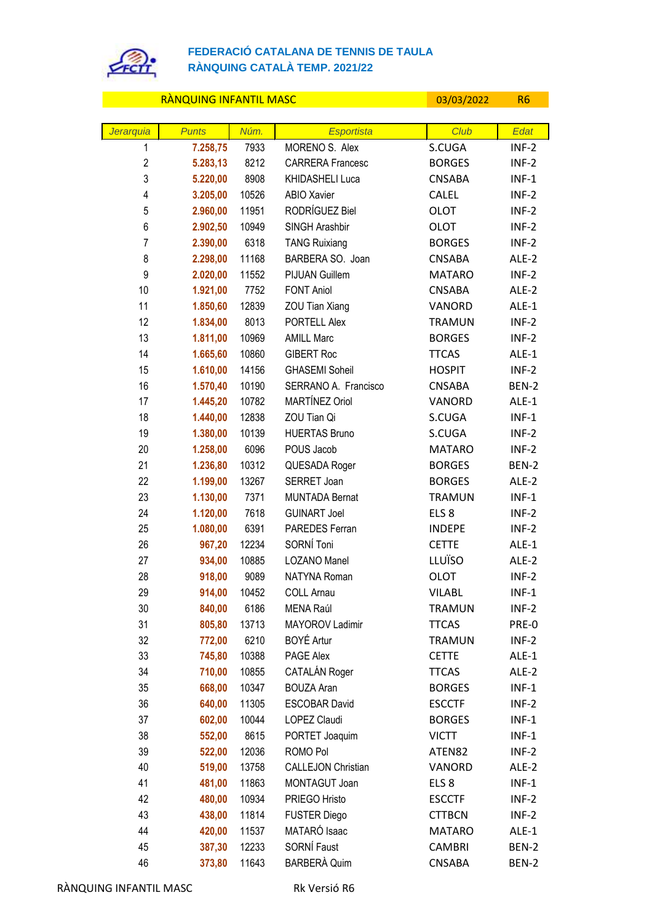

## **FEDERACIÓ CATALANA DE TENNIS DE TAULA RÀNQUING CATALÀ TEMP. 2021/22**

## RÀNQUING INFANTIL MASC CONTROL DE L'ON 1999/03/2022 R6

| Jerarquia      | <b>Punts</b>     | Núm.          | <b>Esportista</b>                   | Club                         | Edat               |
|----------------|------------------|---------------|-------------------------------------|------------------------------|--------------------|
| $\mathbf{1}$   | 7.258,75         | 7933          | MORENO S. Alex                      | S.CUGA                       | $INF-2$            |
| $\overline{2}$ | 5.283,13         | 8212          | <b>CARRERA Francesc</b>             | <b>BORGES</b>                | $INF-2$            |
| 3              | 5.220,00         | 8908          | KHIDASHELI Luca                     | <b>CNSABA</b>                | $INF-1$            |
| 4              | 3.205,00         | 10526         | ABIO Xavier                         | CALEL                        | $INF-2$            |
| 5              | 2.960,00         | 11951         | RODRÍGUEZ Biel                      | <b>OLOT</b>                  | $INF-2$            |
| 6              | 2.902,50         | 10949         | SINGH Arashbir                      | <b>OLOT</b>                  | $INF-2$            |
| $\overline{7}$ | 2.390,00         | 6318          | <b>TANG Ruixiang</b>                | <b>BORGES</b>                | $INF-2$            |
| 8              | 2.298,00         | 11168         | BARBERA SO. Joan                    | <b>CNSABA</b>                | ALE-2              |
| 9              | 2.020,00         | 11552         | PIJUAN Guillem                      | <b>MATARO</b>                | $INF-2$            |
| 10             | 1.921,00         | 7752          | <b>FONT Aniol</b>                   | <b>CNSABA</b>                | ALE-2              |
| 11             | 1.850,60         | 12839         | ZOU Tian Xiang                      | VANORD                       | ALE-1              |
| 12             | 1.834,00         | 8013          | PORTELL Alex                        | <b>TRAMUN</b>                | $INF-2$            |
| 13             | 1.811,00         | 10969         | <b>AMILL Marc</b>                   | <b>BORGES</b>                | $INF-2$            |
| 14             | 1.665,60         | 10860         | <b>GIBERT Roc</b>                   | <b>TTCAS</b>                 | ALE-1              |
| 15             | 1.610,00         | 14156         | <b>GHASEMI Soheil</b>               | <b>HOSPIT</b>                | $INF-2$            |
| 16             | 1.570,40         | 10190         | SERRANO A. Francisco                | <b>CNSABA</b>                | BEN-2              |
| 17             | 1.445,20         | 10782         | MARTÍNEZ Oriol                      | VANORD                       | ALE-1              |
| 18             | 1.440,00         | 12838         | ZOU Tian Qi                         | S.CUGA                       | $INF-1$            |
| 19             | 1.380,00         | 10139         | <b>HUERTAS Bruno</b>                | S.CUGA                       | $INF-2$            |
| 20             | 1.258,00         | 6096          | POUS Jacob                          | <b>MATARO</b>                | $INF-2$            |
| 21             | 1.236,80         | 10312         | QUESADA Roger                       | <b>BORGES</b>                | BEN-2              |
| 22             | 1.199,00         | 13267         | SERRET Joan                         | <b>BORGES</b>                | ALE-2              |
| 23             | 1.130,00         | 7371          | <b>MUNTADA Bernat</b>               | <b>TRAMUN</b>                | $INF-1$            |
| 24             | 1.120,00         | 7618          | <b>GUINART Joel</b>                 | ELS <sub>8</sub>             | $INF-2$            |
| 25             | 1.080,00         | 6391          | PAREDES Ferran                      | <b>INDEPE</b>                | $INF-2$            |
| 26             | 967,20           | 12234         | SORNÍ Toni                          | <b>CETTE</b>                 | ALE-1              |
| 27             | 934,00           | 10885         | LOZANO Manel<br><b>NATYNA Roman</b> | LLUÏSO                       | ALE-2              |
| 28<br>29       | 918,00           | 9089<br>10452 |                                     | <b>OLOT</b><br><b>VILABL</b> | $INF-2$<br>$INF-1$ |
| 30             | 914,00<br>840,00 | 6186          | <b>COLL Arnau</b><br>MENA Raúl      | <b>TRAMUN</b>                | $INF-2$            |
| 31             | 805,80           | 13713         | MAYOROV Ladimir                     | <b>TTCAS</b>                 | PRE-0              |
| 32             | 772,00           | 6210          | BOYÉ Artur                          | <b>TRAMUN</b>                | $INF-2$            |
| 33             | 745,80           | 10388         | PAGE Alex                           | <b>CETTE</b>                 | ALE-1              |
| 34             | 710,00           | 10855         | CATALÁN Roger                       | <b>TTCAS</b>                 | ALE-2              |
| 35             | 668,00           | 10347         | <b>BOUZA Aran</b>                   | <b>BORGES</b>                | $INF-1$            |
| 36             | 640,00           | 11305         | <b>ESCOBAR David</b>                | <b>ESCCTF</b>                | $INF-2$            |
| 37             | 602,00           | 10044         | <b>LOPEZ Claudi</b>                 | <b>BORGES</b>                | $INF-1$            |
| 38             | 552,00           | 8615          | PORTET Joaquim                      | <b>VICTT</b>                 | $INF-1$            |
| 39             | 522,00           | 12036         | ROMO Pol                            | ATEN82                       | $INF-2$            |
| 40             | 519,00           | 13758         | <b>CALLEJON Christian</b>           | VANORD                       | ALE-2              |
| 41             | 481,00           | 11863         | MONTAGUT Joan                       | ELS <sub>8</sub>             | $INF-1$            |
| 42             | 480,00           | 10934         | PRIEGO Hristo                       | <b>ESCCTF</b>                | $INF-2$            |
| 43             | 438,00           | 11814         | <b>FUSTER Diego</b>                 | <b>CTTBCN</b>                | $INF-2$            |
| 44             | 420,00           | 11537         | MATARÓ Isaac                        | <b>MATARO</b>                | ALE-1              |
| 45             | 387,30           | 12233         | SORNÍ Faust                         | <b>CAMBRI</b>                | BEN-2              |
| 46             | 373,80           | 11643         | <b>BARBERÀ Quim</b>                 | CNSABA                       | BEN-2              |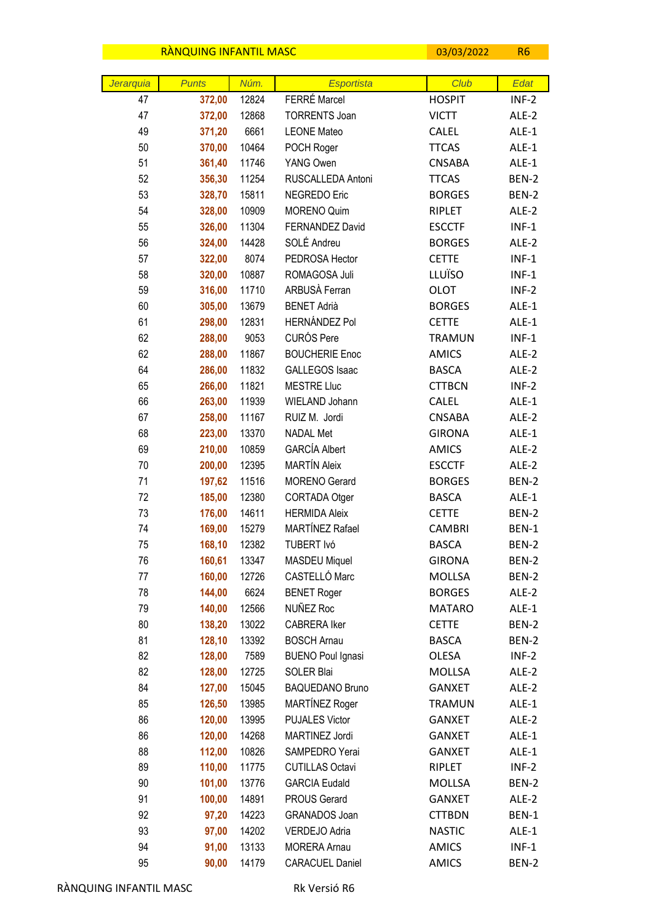|           | RANQUING INFANTIL MASC |                |                                | 03/03/2022              | R <sub>6</sub> |
|-----------|------------------------|----------------|--------------------------------|-------------------------|----------------|
|           |                        |                |                                |                         |                |
| Jerarquia | <b>Punts</b>           | Núm.           | <b>Esportista</b>              | Club                    | Edat           |
| 47        | 372,00                 | 12824          | FERRÉ Marcel                   | <b>HOSPIT</b>           | $INF-2$        |
| 47        | 372,00                 | 12868          | <b>TORRENTS Joan</b>           | <b>VICTT</b>            | ALE-2          |
| 49        | 371,20                 | 6661           | <b>LEONE Mateo</b>             | CALEL                   | ALE-1          |
| 50        | 370,00                 | 10464          | POCH Roger                     | <b>TTCAS</b>            | ALE-1          |
| 51<br>52  | 361,40                 | 11746          | YANG Owen<br>RUSCALLEDA Antoni | <b>CNSABA</b>           | ALE-1          |
| 53        | 356,30                 | 11254          | NEGREDO Eric                   | <b>TTCAS</b>            | BEN-2          |
| 54        | 328,70                 | 15811<br>10909 | <b>MORENO Quim</b>             | <b>BORGES</b><br>RIPLET | BEN-2<br>ALE-2 |
| 55        | 328,00<br>326,00       | 11304          | <b>FERNANDEZ David</b>         | <b>ESCCTF</b>           | $INF-1$        |
| 56        | 324,00                 | 14428          | SOLÉ Andreu                    | <b>BORGES</b>           | ALE-2          |
| 57        | 322,00                 | 8074           | PEDROSA Hector                 | <b>CETTE</b>            | $INF-1$        |
| 58        | 320,00                 | 10887          | ROMAGOSA Juli                  | LLUÏSO                  | $INF-1$        |
| 59        | 316,00                 | 11710          | ARBUSÀ Ferran                  | <b>OLOT</b>             | $INF-2$        |
| 60        | 305,00                 | 13679          | <b>BENET Adrià</b>             | <b>BORGES</b>           | ALE-1          |
| 61        | 298,00                 | 12831          | <b>HERNÁNDEZ Pol</b>           | <b>CETTE</b>            | ALE-1          |
| 62        | 288,00                 | 9053           | <b>CURÓS Pere</b>              | <b>TRAMUN</b>           | $INF-1$        |
| 62        | 288,00                 | 11867          | <b>BOUCHERIE Enoc</b>          | <b>AMICS</b>            | ALE-2          |
| 64        | 286,00                 | 11832          | <b>GALLEGOS Isaac</b>          | <b>BASCA</b>            | ALE-2          |
| 65        | 266,00                 | 11821          | <b>MESTRE Lluc</b>             | <b>CTTBCN</b>           | $INF-2$        |
| 66        | 263,00                 | 11939          | WIELAND Johann                 | <b>CALEL</b>            | ALE-1          |
| 67        | 258,00                 | 11167          | RUIZ M. Jordi                  | <b>CNSABA</b>           | ALE-2          |
| 68        | 223,00                 | 13370          | <b>NADAL Met</b>               | <b>GIRONA</b>           | ALE-1          |
| 69        | 210,00                 | 10859          | <b>GARCÍA Albert</b>           | <b>AMICS</b>            | ALE-2          |
| 70        | 200,00                 | 12395          | <b>MARTÍN Aleix</b>            | <b>ESCCTF</b>           | ALE-2          |
| 71        | 197,62                 | 11516          | <b>MORENO Gerard</b>           | <b>BORGES</b>           | BEN-2          |
| 72        | 185,00                 | 12380          | CORTADA Otger                  | <b>BASCA</b>            | ALE-1          |
| 73        | 176,00                 | 14611          | <b>HERMIDA Aleix</b>           | <b>CETTE</b>            | BEN-2          |
| 74        | 169,00                 | 15279          | <b>MARTÍNEZ Rafael</b>         | <b>CAMBRI</b>           | BEN-1          |
| 75        | 168,10                 | 12382          | TUBERT Ivó                     | <b>BASCA</b>            | BEN-2          |
| 76        | 160,61                 | 13347          | <b>MASDEU Miquel</b>           | <b>GIRONA</b>           | BEN-2          |
| 77        | 160,00                 | 12726          | CASTELLÓ Marc                  | <b>MOLLSA</b>           | BEN-2          |
| 78        | 144,00                 | 6624           | <b>BENET Roger</b>             | <b>BORGES</b>           | ALE-2          |
| 79        | 140,00                 | 12566          | NUÑEZ Roc                      | <b>MATARO</b>           | ALE-1          |
| 80        | 138,20                 | 13022          | <b>CABRERA Iker</b>            | <b>CETTE</b>            | BEN-2          |
| 81        | 128,10                 | 13392          | <b>BOSCH Arnau</b>             | <b>BASCA</b>            | BEN-2          |
| 82        | 128,00                 | 7589           | <b>BUENO Poul Ignasi</b>       | OLESA                   | $INF-2$        |
| 82        | 128,00                 | 12725          | SOLER Blai                     | MOLLSA                  | ALE-2          |
| 84        | 127,00                 | 15045          | <b>BAQUEDANO Bruno</b>         | <b>GANXET</b>           | ALE-2          |
| 85        | 126,50                 | 13985          | MARTÍNEZ Roger                 | <b>TRAMUN</b>           | ALE-1          |
| 86        | 120,00                 | 13995          | <b>PUJALES Victor</b>          | <b>GANXET</b>           | ALE-2          |
| 86        | 120,00                 | 14268          | MARTINEZ Jordi                 | <b>GANXET</b>           | ALE-1          |
| 88        | 112,00                 | 10826          | SAMPEDRO Yerai                 | <b>GANXET</b>           | ALE-1          |
| 89        | 110,00                 | 11775          | <b>CUTILLAS Octavi</b>         | RIPLET                  | $INF-2$        |
| 90        | 101,00                 | 13776          | <b>GARCIA Eudald</b>           | MOLLSA                  | BEN-2          |
| 91        | 100,00                 | 14891          | PROUS Gerard                   | <b>GANXET</b>           | ALE-2          |
| 92        | 97,20                  | 14223          | GRANADOS Joan                  | <b>CTTBDN</b>           | BEN-1          |
| 93        | 97,00                  | 14202          | VERDEJO Adria                  | <b>NASTIC</b>           | ALE-1          |
| 94        | 91,00                  | 13133          | <b>MORERA Arnau</b>            | <b>AMICS</b>            | $INF-1$        |
| 95        | 90,00                  | 14179          | CARACUEL Daniel                | AMICS                   | <b>BEN-2</b>   |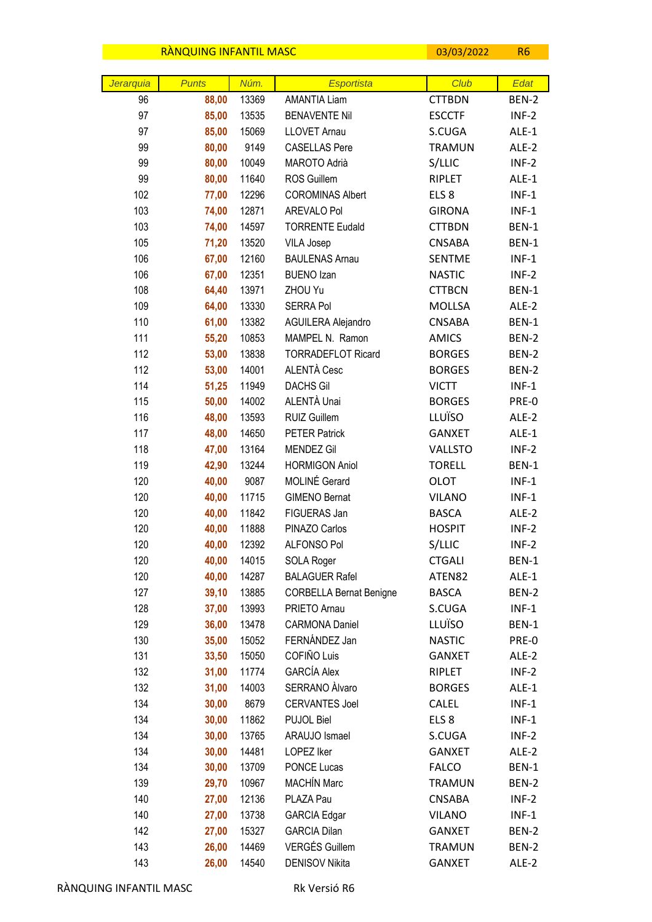|           | <b>RANQUING INFANTIL MASC</b> |                |                                             | 03/03/2022                        | R <sub>6</sub>     |
|-----------|-------------------------------|----------------|---------------------------------------------|-----------------------------------|--------------------|
|           |                               |                |                                             |                                   |                    |
| Jerarquia | <b>Punts</b>                  | Núm.           | Esportista                                  | Club                              | Edat               |
| 96        | 88,00                         | 13369          | <b>AMANTIA Liam</b><br><b>BENAVENTE Nil</b> | <b>CTTBDN</b>                     | BEN-2              |
| 97<br>97  | 85,00                         | 13535<br>15069 | <b>LLOVET Arnau</b>                         | <b>ESCCTF</b>                     | $INF-2$            |
|           | 85,00                         | 9149           |                                             | S.CUGA                            | ALE-1              |
| 99        | 80,00                         |                | <b>CASELLAS Pere</b>                        | <b>TRAMUN</b>                     | ALE-2              |
| 99<br>99  | 80,00                         | 10049          | MAROTO Adrià                                | S/LLIC<br><b>RIPLET</b>           | $INF-2$            |
| 102       | 80,00                         | 11640<br>12296 | ROS Guillem<br><b>COROMINAS Albert</b>      |                                   | ALE-1              |
| 103       | 77,00<br>74,00                | 12871          | AREVALO Pol                                 | ELS <sub>8</sub><br><b>GIRONA</b> | $INF-1$<br>$INF-1$ |
| 103       | 74,00                         | 14597          | <b>TORRENTE Eudald</b>                      | <b>CTTBDN</b>                     | <b>BEN-1</b>       |
| 105       | 71,20                         | 13520          | VILA Josep                                  | <b>CNSABA</b>                     | BEN-1              |
| 106       | 67,00                         | 12160          | <b>BAULENAS Arnau</b>                       | <b>SENTME</b>                     | $INF-1$            |
| 106       | 67,00                         | 12351          | <b>BUENO Izan</b>                           | <b>NASTIC</b>                     | $INF-2$            |
| 108       | 64,40                         | 13971          | ZHOU Yu                                     | <b>CTTBCN</b>                     | BEN-1              |
| 109       | 64,00                         | 13330          | <b>SERRA Pol</b>                            | <b>MOLLSA</b>                     | ALE-2              |
| 110       | 61,00                         | 13382          | AGUILERA Alejandro                          | <b>CNSABA</b>                     | BEN-1              |
| 111       | 55,20                         | 10853          | MAMPEL N. Ramon                             | <b>AMICS</b>                      | BEN-2              |
| 112       | 53,00                         | 13838          | <b>TORRADEFLOT Ricard</b>                   | <b>BORGES</b>                     | BEN-2              |
| 112       | 53,00                         | 14001          | ALENTÀ Cesc                                 | <b>BORGES</b>                     | BEN-2              |
| 114       | 51,25                         | 11949          | <b>DACHS Gil</b>                            | <b>VICTT</b>                      | $INF-1$            |
| 115       | 50,00                         | 14002          | ALENTÀ Unai                                 | <b>BORGES</b>                     | PRE-0              |
| 116       | 48,00                         | 13593          | <b>RUIZ Guillem</b>                         | LLUÏSO                            | ALE-2              |
| 117       | 48,00                         | 14650          | <b>PETER Patrick</b>                        | <b>GANXET</b>                     | ALE-1              |
| 118       | 47,00                         | 13164          | <b>MENDEZ Gil</b>                           | <b>VALLSTO</b>                    | $INF-2$            |
| 119       | 42,90                         | 13244          | <b>HORMIGON Aniol</b>                       | <b>TORELL</b>                     | BEN-1              |
| 120       | 40,00                         | 9087           | MOLINÉ Gerard                               | <b>OLOT</b>                       | $INF-1$            |
| 120       | 40,00                         | 11715          | <b>GIMENO Bernat</b>                        | <b>VILANO</b>                     | $INF-1$            |
| 120       | 40,00                         | 11842          | FIGUERAS Jan                                | <b>BASCA</b>                      | ALE-2              |
| 120       | 40,00                         | 11888          | PINAZO Carlos                               | <b>HOSPIT</b>                     | $INF-2$            |
| 120       | 40,00                         | 12392          | <b>ALFONSO Pol</b>                          | S/LLIC                            | $INF-2$            |
| 120       | 40,00                         | 14015          | SOLA Roger                                  | <b>CTGALI</b>                     | BEN-1              |
| 120       | 40,00                         | 14287          | <b>BALAGUER Rafel</b>                       | ATEN82                            | ALE-1              |
| 127       | 39,10                         | 13885          | <b>CORBELLA Bernat Benigne</b>              | <b>BASCA</b>                      | BEN-2              |
| 128       | 37,00                         | 13993          | PRIETO Arnau                                | S.CUGA                            | $INF-1$            |
| 129       | 36,00                         | 13478          | <b>CARMONA Daniel</b>                       | LLUÏSO                            | BEN-1              |
| 130       | 35,00                         | 15052          | FERNÁNDEZ Jan                               | <b>NASTIC</b>                     | PRE-0              |
| 131       | 33,50                         | 15050          | COFIÑO Luis                                 | <b>GANXET</b>                     | ALE-2              |
| 132       | 31,00                         | 11774          | GARCÍA Alex                                 | RIPLET                            | $INF-2$            |
| 132       | 31,00                         | 14003          | SERRANO Àlvaro                              | <b>BORGES</b>                     | ALE-1              |
| 134       | 30,00                         | 8679           | <b>CERVANTES Joel</b>                       | CALEL                             | $INF-1$            |
| 134       | 30,00                         | 11862          | PUJOL Biel                                  | ELS <sub>8</sub>                  | $INF-1$            |
| 134       | 30,00                         | 13765          | ARAUJO Ismael                               | S.CUGA                            | $INF-2$            |
| 134       | 30,00                         | 14481          | LOPEZ Iker                                  | <b>GANXET</b>                     | ALE-2              |
| 134       | 30,00                         | 13709          | PONCE Lucas                                 | <b>FALCO</b>                      | BEN-1              |
| 139       | 29,70                         | 10967          | MACHÍN Marc                                 | <b>TRAMUN</b>                     | BEN-2              |
| 140       | 27,00                         | 12136          | PLAZA Pau                                   | <b>CNSABA</b>                     | $INF-2$            |
| 140       | 27,00                         | 13738          | <b>GARCIA Edgar</b>                         | <b>VILANO</b>                     | $INF-1$            |
| 142       | 27,00                         | 15327          | <b>GARCIA Dilan</b>                         | <b>GANXET</b>                     | BEN-2              |
| 143       | 26,00                         | 14469          | <b>VERGÉS Guillem</b>                       | <b>TRAMUN</b>                     | BEN-2              |
| 143       | 26,00                         | 14540          | DENISOV Nikita                              | <b>GANXET</b>                     | ALE-2              |

 $\overline{\phantom{a}}$